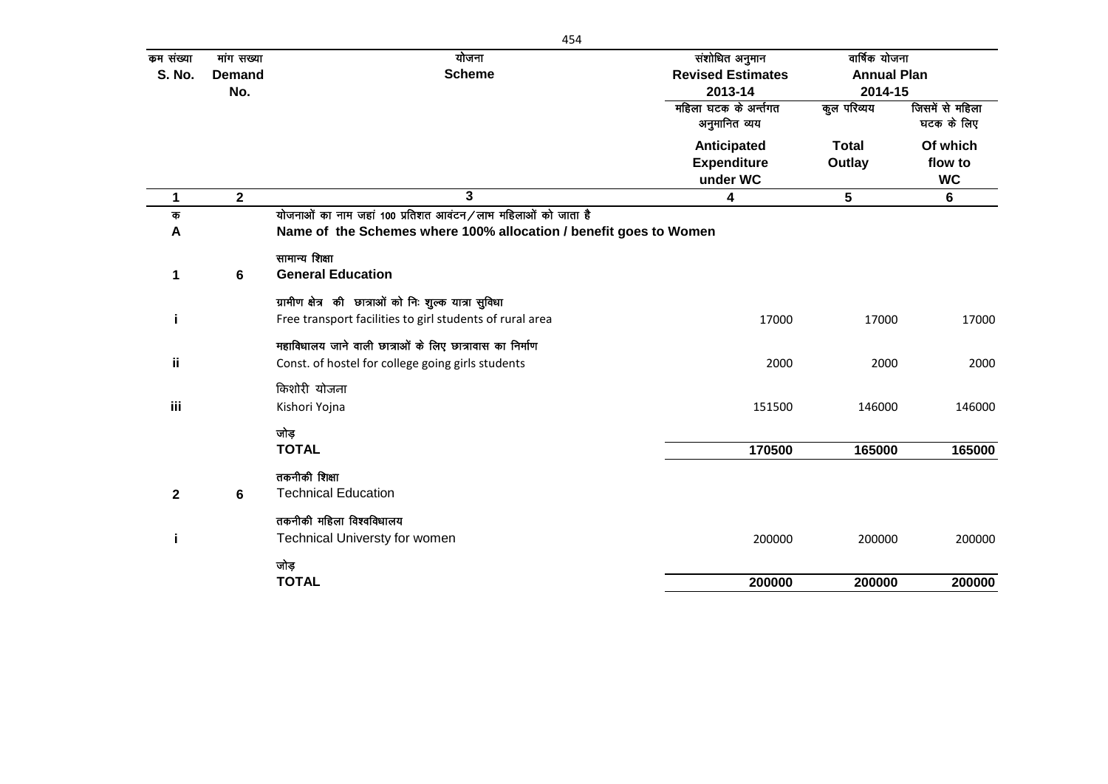| कम संख्या    | मांग सख्या     | योजना                                                             | संशोधित अनुमान           | वार्षिक योजना      |                 |
|--------------|----------------|-------------------------------------------------------------------|--------------------------|--------------------|-----------------|
| S. No.       | <b>Demand</b>  | <b>Scheme</b>                                                     | <b>Revised Estimates</b> | <b>Annual Plan</b> |                 |
|              | No.            |                                                                   | 2013-14                  | 2014-15            |                 |
|              |                |                                                                   | महिला घटक के अर्न्तगत    | कूल परिव्यय        | जिसमें से महिला |
|              |                |                                                                   | अनुमानित व्यय            |                    | घटक के लिए      |
|              |                |                                                                   | Anticipated              | <b>Total</b>       | Of which        |
|              |                |                                                                   | <b>Expenditure</b>       | Outlay             | flow to         |
|              |                |                                                                   | under WC                 |                    | <b>WC</b>       |
| 1            | $\overline{2}$ | 3                                                                 | 4                        | 5                  | 6               |
| क            |                | योजनाओं का नाम जहां 100 प्रतिशत आवंटन/लाभ महिलाओं को जाता है      |                          |                    |                 |
| A            |                | Name of the Schemes where 100% allocation / benefit goes to Women |                          |                    |                 |
|              |                | सामान्य शिक्षा                                                    |                          |                    |                 |
| 1            | 6              | <b>General Education</b>                                          |                          |                    |                 |
|              |                | ग्रामीण क्षेत्र की छात्राओं को निः शुल्क यात्रा सुविधा            |                          |                    |                 |
| i            |                | Free transport facilities to girl students of rural area          | 17000                    | 17000              | 17000           |
|              |                | महाविधालय जाने वाली छात्राओं के लिए छात्रावास का निर्माण          |                          |                    |                 |
| ii.          |                | Const. of hostel for college going girls students                 | 2000                     | 2000               | 2000            |
|              |                | किशोरी योजना                                                      |                          |                    |                 |
| iii          |                | Kishori Yojna                                                     | 151500                   | 146000             | 146000          |
|              |                |                                                                   |                          |                    |                 |
|              |                | जोड़                                                              |                          |                    |                 |
|              |                | <b>TOTAL</b>                                                      | 170500                   | 165000             | 165000          |
|              |                | तकनीकी शिक्षा                                                     |                          |                    |                 |
| $\mathbf{2}$ | 6              | <b>Technical Education</b>                                        |                          |                    |                 |
|              |                | तकनीकी महिला विश्वविधालय                                          |                          |                    |                 |
| i            |                | <b>Technical Universty for women</b>                              | 200000                   | 200000             | 200000          |
|              |                | जोड़                                                              |                          |                    |                 |
|              |                | <b>TOTAL</b>                                                      | 200000                   | 200000             | 200000          |
|              |                |                                                                   |                          |                    |                 |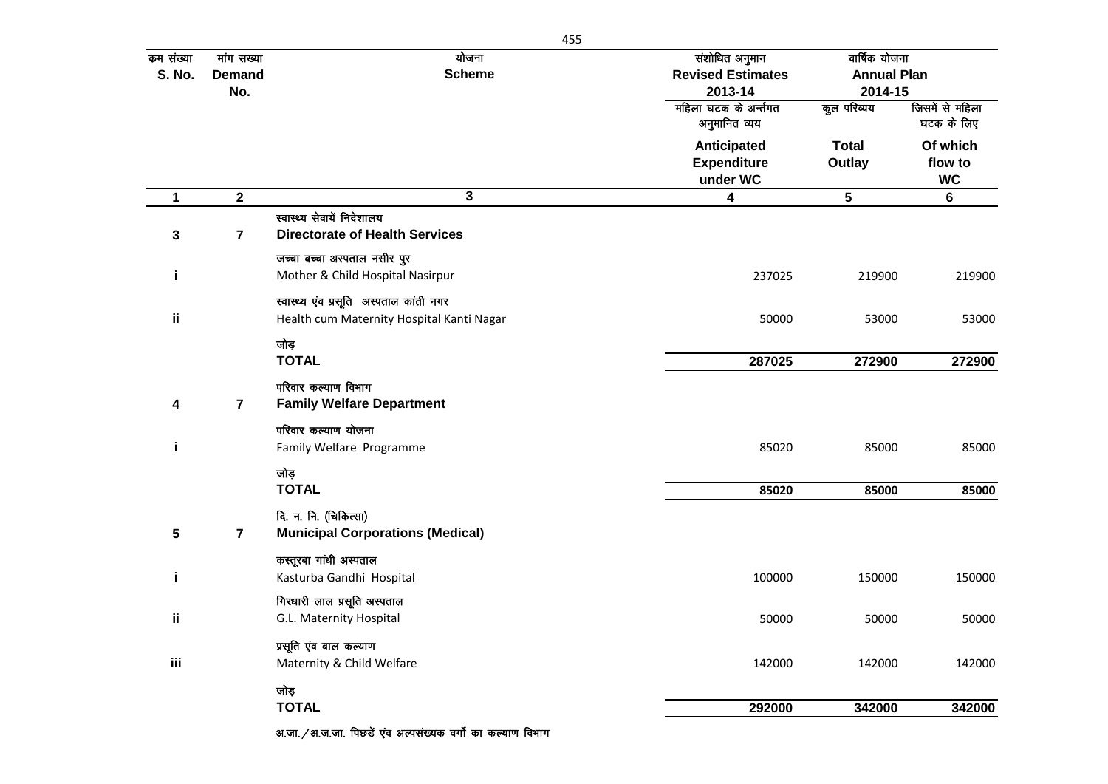| कम संख्या     | मांग सख्या              | योजना                                                      | संशोधित अनुमान                         | वार्षिक योजना      |                               |
|---------------|-------------------------|------------------------------------------------------------|----------------------------------------|--------------------|-------------------------------|
| <b>S. No.</b> | <b>Demand</b>           | <b>Scheme</b>                                              | <b>Revised Estimates</b>               | <b>Annual Plan</b> |                               |
|               | No.                     |                                                            | 2013-14                                | 2014-15            |                               |
|               |                         |                                                            | महिला घटक के अर्न्तगत<br>अनुमानित व्यय | कुल परिव्यय        | जिसमें से महिला<br>घटक के लिए |
|               |                         |                                                            | Anticipated                            | <b>Total</b>       | Of which                      |
|               |                         |                                                            | <b>Expenditure</b>                     | Outlay             | flow to                       |
|               |                         |                                                            | under WC                               |                    | <b>WC</b>                     |
| 1             | $\mathbf{2}$            | 3                                                          | 4                                      | $5\phantom{.0}$    | 6                             |
|               |                         | स्वास्थ्य सेवायें निदेशालय                                 |                                        |                    |                               |
| 3             | $\overline{\mathbf{7}}$ | <b>Directorate of Health Services</b>                      |                                        |                    |                               |
|               |                         | जच्चा बच्चा अस्पताल नसीर पुर                               |                                        |                    |                               |
| j.            |                         | Mother & Child Hospital Nasirpur                           | 237025                                 | 219900             | 219900                        |
|               |                         | स्वास्थ्य एव प्रसूति अस्पताल कांती नगर                     |                                        |                    |                               |
| ii            |                         | Health cum Maternity Hospital Kanti Nagar                  | 50000                                  | 53000              | 53000                         |
|               |                         |                                                            |                                        |                    |                               |
|               |                         | जोड़<br><b>TOTAL</b>                                       | 287025                                 | 272900             | 272900                        |
|               |                         |                                                            |                                        |                    |                               |
|               |                         | परिवार कल्याण विभाग                                        |                                        |                    |                               |
| 4             | 7                       | <b>Family Welfare Department</b>                           |                                        |                    |                               |
|               |                         | परिवार कल्याण योजना                                        |                                        |                    |                               |
| j.            |                         | Family Welfare Programme                                   | 85020                                  | 85000              | 85000                         |
|               |                         | जोड़                                                       |                                        |                    |                               |
|               |                         | <b>TOTAL</b>                                               | 85020                                  | 85000              | 85000                         |
|               |                         | दि. न. नि. (चिकित्सा)                                      |                                        |                    |                               |
| 5             | 7                       | <b>Municipal Corporations (Medical)</b>                    |                                        |                    |                               |
|               |                         | कस्तूरबा गांधी अस्पताल                                     |                                        |                    |                               |
| j.            |                         | Kasturba Gandhi Hospital                                   | 100000                                 | 150000             | 150000                        |
|               |                         | गिरधारी लाल प्रसूति अस्पताल                                |                                        |                    |                               |
| jj.           |                         | G.L. Maternity Hospital                                    | 50000                                  | 50000              | 50000                         |
|               |                         |                                                            |                                        |                    |                               |
| iii           |                         | प्रसूति एव बाल कल्याण<br>Maternity & Child Welfare         | 142000                                 | 142000             | 142000                        |
|               |                         |                                                            |                                        |                    |                               |
|               |                         | जोड़                                                       |                                        |                    |                               |
|               |                         | <b>TOTAL</b>                                               | 292000                                 | 342000             | 342000                        |
|               |                         | अ.जा. / अ.ज.जा. पिछडे एंव अल्पसंख्यक वर्गो का कल्याण विभाग |                                        |                    |                               |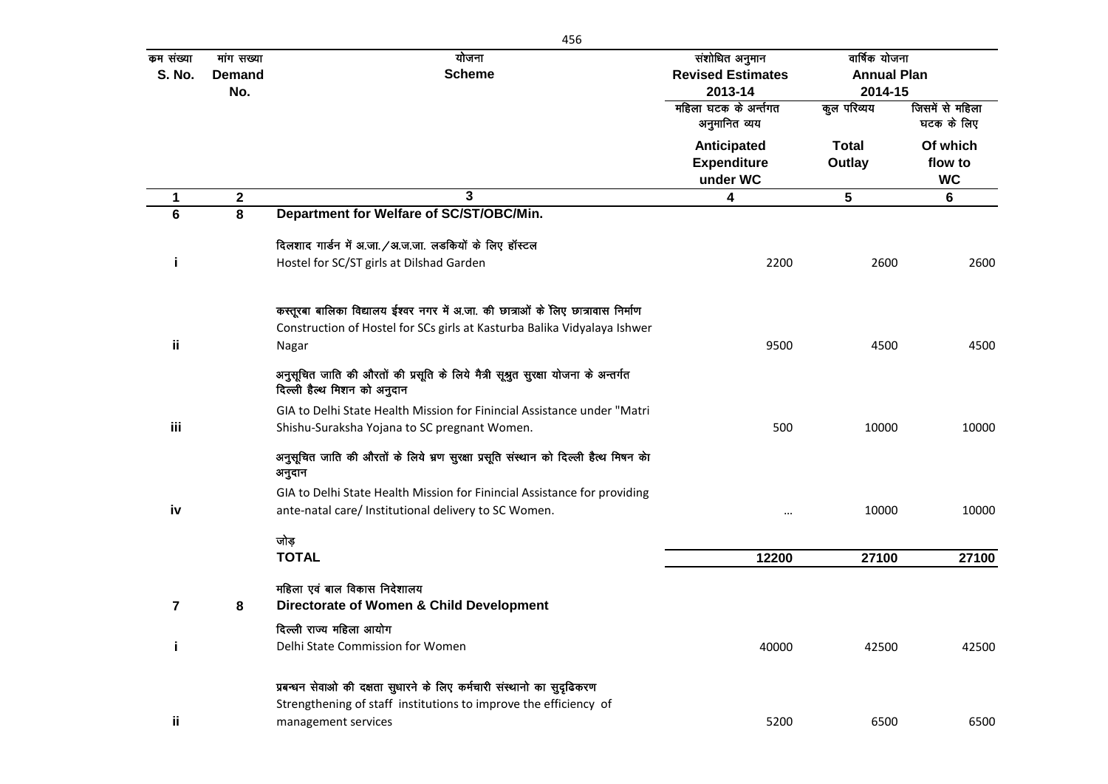| कम संख्या      | मांग सख्या    | योजना                                                                                                             | संशोधित अनुमान                         | वार्षिक योजना      |                               |
|----------------|---------------|-------------------------------------------------------------------------------------------------------------------|----------------------------------------|--------------------|-------------------------------|
| <b>S. No.</b>  | <b>Demand</b> | <b>Scheme</b>                                                                                                     | <b>Revised Estimates</b>               | <b>Annual Plan</b> |                               |
|                | No.           |                                                                                                                   | 2013-14                                | 2014-15            |                               |
|                |               |                                                                                                                   | महिला घटक के अर्न्तगत<br>अनुमानित व्यय | कुल परिव्यय        | जिसमें से महिला<br>घटक के लिए |
|                |               |                                                                                                                   | Anticipated                            | Total              | Of which                      |
|                |               |                                                                                                                   | <b>Expenditure</b>                     | Outlay             | flow to                       |
|                |               |                                                                                                                   | under WC                               |                    | <b>WC</b>                     |
| 1              | $\mathbf 2$   | 3                                                                                                                 | 4                                      | 5                  | $6\phantom{a}$                |
| $6\phantom{1}$ | 8             | Department for Welfare of SC/ST/OBC/Min.                                                                          |                                        |                    |                               |
|                |               | दिलशाद गार्डन में अ.जा. / अ.ज.जा. लड़कियों के लिए हॉस्टल                                                          |                                        |                    |                               |
| i              |               | Hostel for SC/ST girls at Dilshad Garden                                                                          | 2200                                   | 2600               | 2600                          |
|                |               | कस्तूरबा बालिका विद्यालय ईश्वर नगर में अ.जा. की छात्राओं के लिए छात्रावास निर्माण                                 |                                        |                    |                               |
|                |               | Construction of Hostel for SCs girls at Kasturba Balika Vidyalaya Ishwer                                          |                                        |                    |                               |
| ij             |               | Nagar                                                                                                             | 9500                                   | 4500               | 4500                          |
|                |               | अनुसूचित जाति की औरतों की प्रसूति के लिये मैत्री सूश्रुत सुरक्षा योजना के अन्तर्गत<br>दिल्ली हैल्थ मिशन को अनुदान |                                        |                    |                               |
|                |               | GIA to Delhi State Health Mission for Finincial Assistance under "Matri                                           |                                        |                    |                               |
| iii            |               | Shishu-Suraksha Yojana to SC pregnant Women.                                                                      | 500                                    | 10000              | 10000                         |
|                |               | अनुसूचित जाति की औरतों के लिये भ्रण सुरक्षा प्रसूति संस्थान को दिल्ली हैत्थ मिषन केा<br>अनुदान                    |                                        |                    |                               |
|                |               | GIA to Delhi State Health Mission for Finincial Assistance for providing                                          |                                        |                    |                               |
| iv             |               | ante-natal care/ Institutional delivery to SC Women.                                                              | $\ddotsc$                              | 10000              | 10000                         |
|                |               | जोड़                                                                                                              |                                        |                    |                               |
|                |               | <b>TOTAL</b>                                                                                                      | 12200                                  | 27100              | 27100                         |
|                |               | महिला एवं बाल विकास निदेशालय                                                                                      |                                        |                    |                               |
| $\overline{7}$ | 8             | Directorate of Women & Child Development                                                                          |                                        |                    |                               |
|                |               | दिल्ली राज्य महिला आयोग                                                                                           |                                        |                    |                               |
| i              |               | Delhi State Commission for Women                                                                                  | 40000                                  | 42500              | 42500                         |
|                |               | प्रबन्धन सेवाओ की दक्षता सुधारने के लिए कर्मचारी संस्थानो का सुदृढिकरण                                            |                                        |                    |                               |
|                |               | Strengthening of staff institutions to improve the efficiency of                                                  |                                        |                    |                               |
| ij             |               | management services                                                                                               | 5200                                   | 6500               | 6500                          |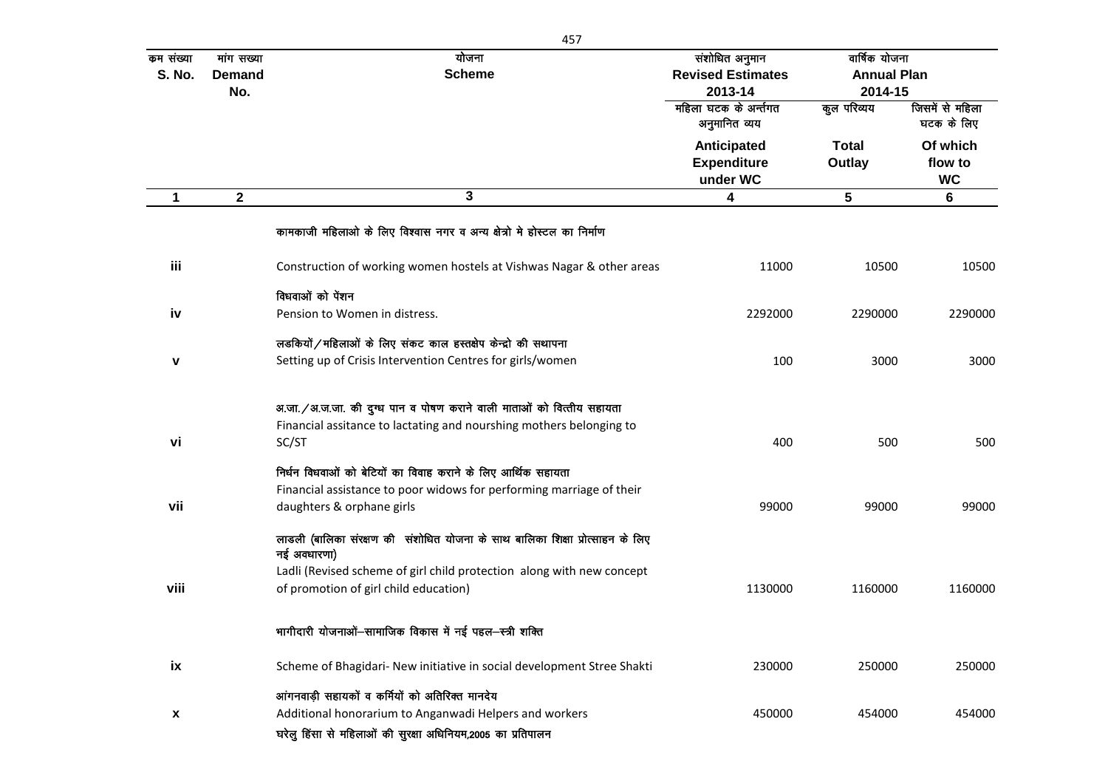|                            | 457                                |                                                                                              |                                                       |                                                |                                  |  |  |
|----------------------------|------------------------------------|----------------------------------------------------------------------------------------------|-------------------------------------------------------|------------------------------------------------|----------------------------------|--|--|
| कम संख्या<br><b>S. No.</b> | मांग सख्या<br><b>Demand</b><br>No. | योजना<br><b>Scheme</b>                                                                       | संशोधित अनुमान<br><b>Revised Estimates</b><br>2013-14 | वार्षिक योजना<br><b>Annual Plan</b><br>2014-15 |                                  |  |  |
|                            |                                    |                                                                                              | महिला घटक के अर्न्तगत<br>अनुमानित व्यय                | कुल परिव्यय                                    | जिसमें से महिला<br>घटक के लिए    |  |  |
|                            |                                    |                                                                                              | Anticipated<br><b>Expenditure</b><br>under WC         | <b>Total</b><br>Outlay                         | Of which<br>flow to<br><b>WC</b> |  |  |
| $\mathbf 1$                | $\mathbf 2$                        | 3                                                                                            | 4                                                     | 5                                              | 6                                |  |  |
|                            |                                    | कामकाजी महिलाओ के लिए विश्वास नगर व अन्य क्षेत्रो मे होस्टल का निर्माण                       |                                                       |                                                |                                  |  |  |
| iii                        |                                    | Construction of working women hostels at Vishwas Nagar & other areas                         | 11000                                                 | 10500                                          | 10500                            |  |  |
|                            |                                    | विधवाओं को पेंशन                                                                             |                                                       |                                                |                                  |  |  |
| iv                         |                                    | Pension to Women in distress.                                                                | 2292000                                               | 2290000                                        | 2290000                          |  |  |
|                            |                                    | लडकियों / महिलाओं के लिए संकट काल हस्तक्षेप केन्द्रो की सथापना                               |                                                       |                                                |                                  |  |  |
| V                          |                                    | Setting up of Crisis Intervention Centres for girls/women                                    | 100                                                   | 3000                                           | 3000                             |  |  |
|                            |                                    | अ.जा./अ.ज.जा. की दुग्ध पान व पोषण कराने वाली माताओं को वित्तीय सहायता                        |                                                       |                                                |                                  |  |  |
| vi                         |                                    | Financial assitance to lactating and nourshing mothers belonging to<br>SC/ST                 | 400                                                   | 500                                            | 500                              |  |  |
|                            |                                    | निर्धन विधवाओं को बेटियों का विवाह कराने के लिए आर्थिक सहायता                                |                                                       |                                                |                                  |  |  |
|                            |                                    | Financial assistance to poor widows for performing marriage of their                         |                                                       |                                                |                                  |  |  |
| vii                        |                                    | daughters & orphane girls                                                                    | 99000                                                 | 99000                                          | 99000                            |  |  |
|                            |                                    | लाडली (बालिका संरक्षण की संशोधित योजना के साथ बालिका शिक्षा प्रोत्साहन के लिए<br>नई अवधारणा) |                                                       |                                                |                                  |  |  |
|                            |                                    | Ladli (Revised scheme of girl child protection along with new concept                        |                                                       |                                                |                                  |  |  |
| viii                       |                                    | of promotion of girl child education)                                                        | 1130000                                               | 1160000                                        | 1160000                          |  |  |
|                            |                                    | भागीदारी योजनाओं-सामाजिक विकास में नई पहल-स्त्री शक्ति                                       |                                                       |                                                |                                  |  |  |
| ix                         |                                    | Scheme of Bhagidari- New initiative in social development Stree Shakti                       | 230000                                                | 250000                                         | 250000                           |  |  |
|                            |                                    | आंगनवाड़ी सहायकों व कर्मियों को अतिरिक्त मानदेय                                              |                                                       |                                                |                                  |  |  |
| X                          |                                    | Additional honorarium to Anganwadi Helpers and workers                                       | 450000                                                | 454000                                         | 454000                           |  |  |
|                            |                                    | घरेलु हिंसा से महिलाओं की सुरक्षा अधिनियम,2005 का प्रतिपालन                                  |                                                       |                                                |                                  |  |  |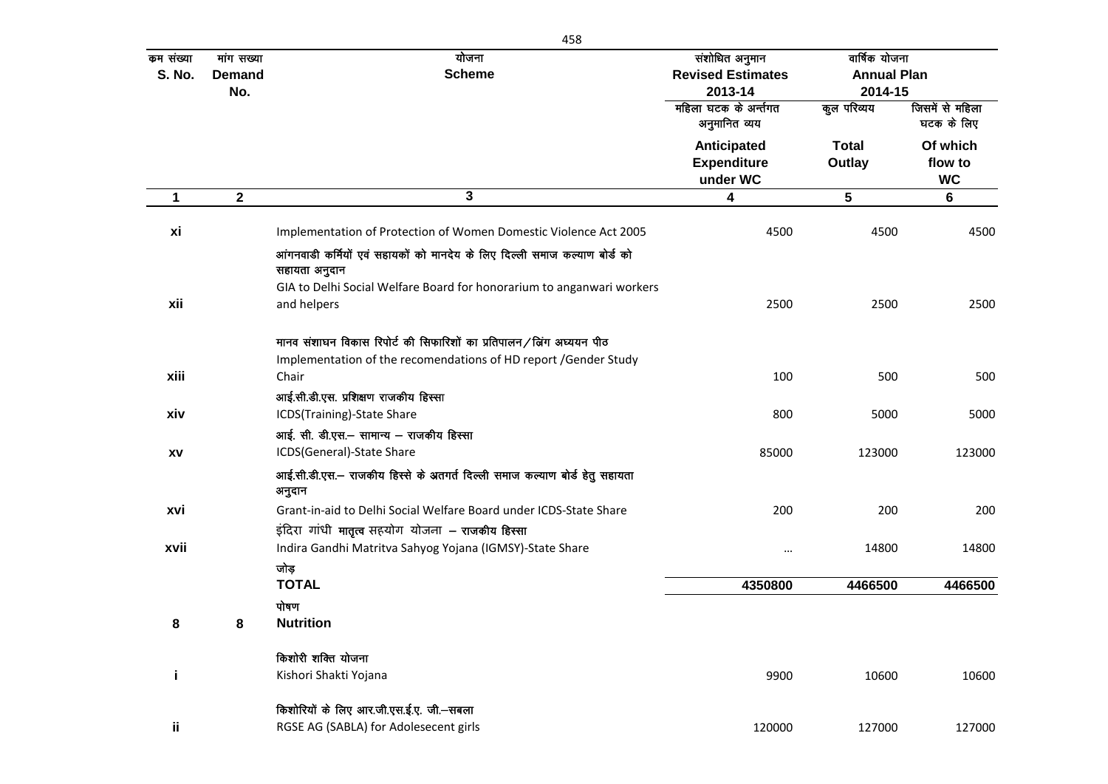| कम संख्या     | मांग सख्या       | योजना                                                                                                                                  | संशोधित अनुमान                                       | वार्षिक योजना          |                                  |
|---------------|------------------|----------------------------------------------------------------------------------------------------------------------------------------|------------------------------------------------------|------------------------|----------------------------------|
| <b>S. No.</b> | <b>Demand</b>    | <b>Scheme</b>                                                                                                                          | <b>Revised Estimates</b>                             | <b>Annual Plan</b>     |                                  |
|               | No.              |                                                                                                                                        | 2013-14                                              | 2014-15                |                                  |
|               |                  |                                                                                                                                        | महिला घटक के अर्न्तगत<br>अनुमानित व्यय               | कुल परिव्यय            | जिसमें से महिला<br>घटक के लिए    |
|               |                  |                                                                                                                                        | <b>Anticipated</b><br><b>Expenditure</b><br>under WC | <b>Total</b><br>Outlay | Of which<br>flow to<br><b>WC</b> |
| $\mathbf 1$   | $\boldsymbol{2}$ | 3                                                                                                                                      | 4                                                    | ${\bf 5}$              | $\bf 6$                          |
| xi            |                  | Implementation of Protection of Women Domestic Violence Act 2005                                                                       | 4500                                                 | 4500                   | 4500                             |
|               |                  | आंगनवाडी कर्मियों एवं सहायकों को मानदेय के लिए दिल्ली समाज कल्याण बोर्ड को<br>सहायता अनुदान                                            |                                                      |                        |                                  |
| xii           |                  | GIA to Delhi Social Welfare Board for honorarium to anganwari workers<br>and helpers                                                   | 2500                                                 | 2500                   | 2500                             |
|               |                  | मानव संशाघन विकास रिपोर्ट की सिफारिशों का प्रतिपालन/बिंग अघ्ययन पीठ<br>Implementation of the recomendations of HD report /Gender Study |                                                      |                        |                                  |
| xiii          |                  | Chair                                                                                                                                  | 100                                                  | 500                    | 500                              |
| xiv           |                  | आई.सी.डी.एस. प्रशिक्षण राजकीय हिस्सा<br>ICDS(Training)-State Share                                                                     | 800                                                  | 5000                   | 5000                             |
|               |                  | आई. सी. डी.एस.- सामान्य - राजकीय हिस्सा                                                                                                |                                                      |                        |                                  |
| XV            |                  | ICDS(General)-State Share                                                                                                              | 85000                                                | 123000                 | 123000                           |
|               |                  | आई.सी.डी.एस.- राजकीय हिस्से के अतगर्त दिल्ली समाज कल्याण बोर्ड हेतु सहायता<br>अनुदान                                                   |                                                      |                        |                                  |
| xvi           |                  | Grant-in-aid to Delhi Social Welfare Board under ICDS-State Share<br>इंदिरा गांधी मातृत्व सहयोग योजना – राजकीय हिस्सा                  | 200                                                  | 200                    | 200                              |
| xvii          |                  | Indira Gandhi Matritva Sahyog Yojana (IGMSY)-State Share                                                                               | $\ddotsc$                                            | 14800                  | 14800                            |
|               |                  | जोड़                                                                                                                                   |                                                      |                        |                                  |
|               |                  | <b>TOTAL</b>                                                                                                                           | 4350800                                              | 4466500                | 4466500                          |
|               |                  | पोषण                                                                                                                                   |                                                      |                        |                                  |
| 8             | 8                | <b>Nutrition</b>                                                                                                                       |                                                      |                        |                                  |
|               |                  | किशोरी शक्ति योजना                                                                                                                     |                                                      |                        |                                  |
| j             |                  | Kishori Shakti Yojana                                                                                                                  | 9900                                                 | 10600                  | 10600                            |
|               |                  | किशोरियों के लिए आर.जी.एस.ई.ए. जी.-सबला                                                                                                |                                                      |                        |                                  |
| ij.           |                  | RGSE AG (SABLA) for Adolesecent girls                                                                                                  | 120000                                               | 127000                 | 127000                           |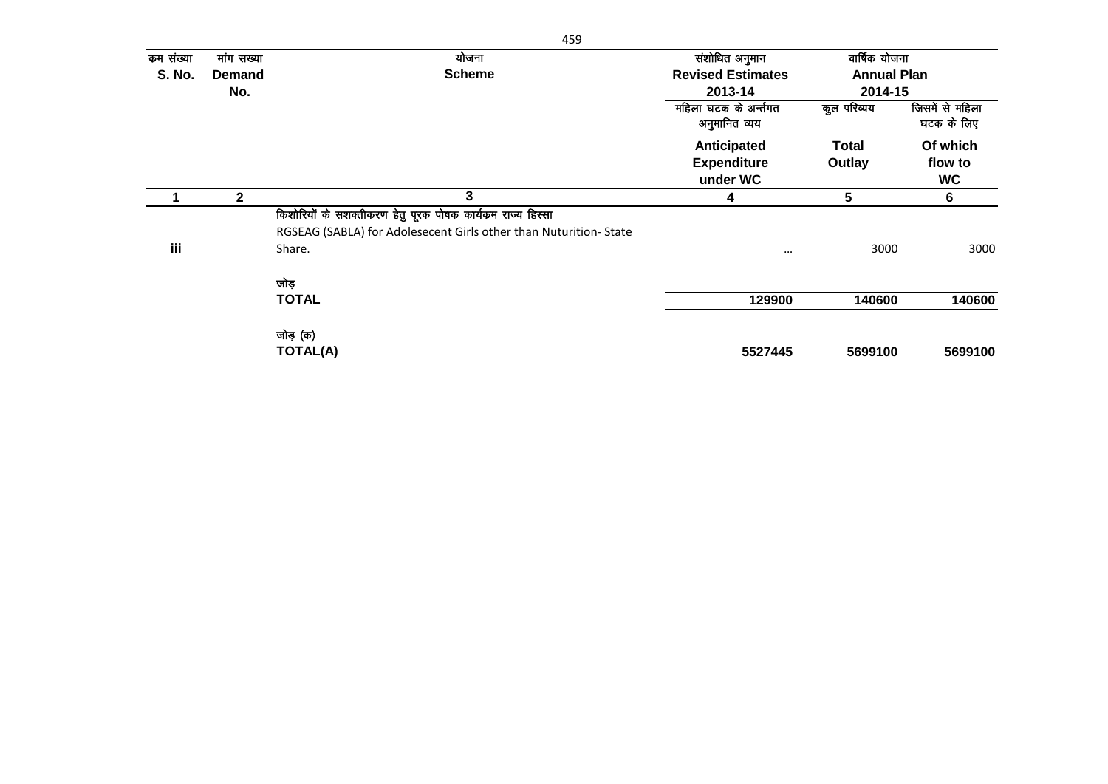| कम संख्या     | मांग सख्या    | योजना                                                            | संशोधित अनुमान                                | वार्षिक योजना      |                                  |
|---------------|---------------|------------------------------------------------------------------|-----------------------------------------------|--------------------|----------------------------------|
| <b>S. No.</b> | <b>Demand</b> | <b>Scheme</b>                                                    | <b>Revised Estimates</b>                      | <b>Annual Plan</b> |                                  |
|               | No.           |                                                                  | 2013-14                                       | 2014-15            |                                  |
|               |               |                                                                  | महिला घटक के अर्न्तगत<br>अनुमानित व्यय        | कुल परिव्यय        | जिसमें से महिला<br>घटक के लिए    |
|               |               |                                                                  | Anticipated<br><b>Expenditure</b><br>under WC | Total<br>Outlay    | Of which<br>flow to<br><b>WC</b> |
|               | $\mathbf{2}$  | 3                                                                | 4                                             | 5                  | 6                                |
|               |               | किशोरियों के सशक्तीकरण हेतु पूरक पोषक कार्यक्रम राज्य हिस्सा     |                                               |                    |                                  |
|               |               | RGSEAG (SABLA) for Adolesecent Girls other than Nuturition-State |                                               |                    |                                  |
| iii           |               | Share.                                                           | $\cdots$                                      | 3000               | 3000                             |
|               |               | जोड़                                                             |                                               |                    |                                  |
|               |               | <b>TOTAL</b>                                                     | 129900                                        | 140600             | 140600                           |
|               |               | जोड़ (क)                                                         |                                               |                    |                                  |
|               |               | <b>TOTAL(A)</b>                                                  | 5527445                                       | 5699100            | 5699100                          |
|               |               |                                                                  |                                               |                    |                                  |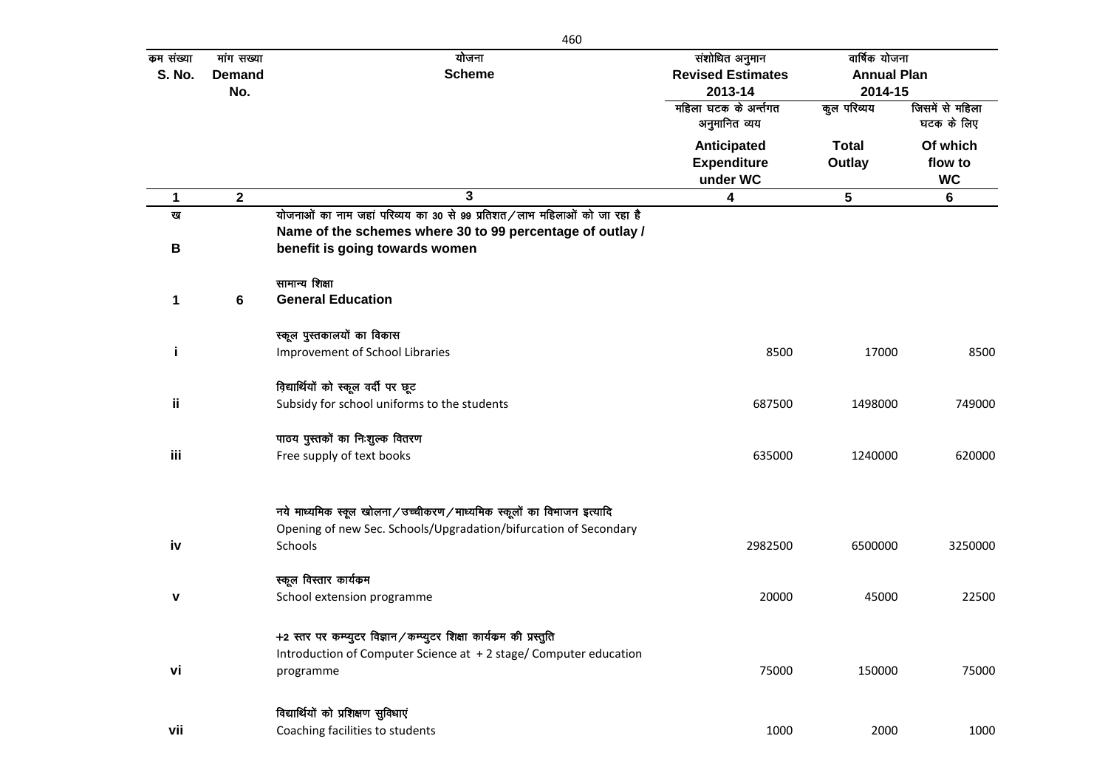| कम संख्या     | मांग सख्या    | योजना                                                                    | संशोधित अनुमान                         | वार्षिक योजना      |                               |
|---------------|---------------|--------------------------------------------------------------------------|----------------------------------------|--------------------|-------------------------------|
| <b>S. No.</b> | <b>Demand</b> | <b>Scheme</b>                                                            | <b>Revised Estimates</b>               | <b>Annual Plan</b> |                               |
|               | No.           |                                                                          | 2013-14                                | 2014-15            |                               |
|               |               |                                                                          | महिला घटक के अर्न्तगत<br>अनुमानित व्यय | कुल परिव्यय        | जिसमें से महिला<br>घटक के लिए |
|               |               |                                                                          | Anticipated                            | <b>Total</b>       | Of which                      |
|               |               |                                                                          | <b>Expenditure</b>                     | Outlay             | flow to                       |
|               |               |                                                                          | under WC                               |                    | <b>WC</b>                     |
| $\mathbf 1$   | $\mathbf 2$   | 3                                                                        | 4                                      | $5\phantom{.0}$    | $6\phantom{1}6$               |
| ख             |               | योजनाओं का नाम जहां परिव्यय का 30 से 99 प्रतिशत/लाभ महिलाओं को जा रहा है |                                        |                    |                               |
|               |               | Name of the schemes where 30 to 99 percentage of outlay /                |                                        |                    |                               |
| В             |               | benefit is going towards women                                           |                                        |                    |                               |
|               |               | सामान्य शिक्षा                                                           |                                        |                    |                               |
| 1             | 6             | <b>General Education</b>                                                 |                                        |                    |                               |
|               |               | स्कूल पुस्तकालयों का विकास                                               |                                        |                    |                               |
| j             |               | Improvement of School Libraries                                          | 8500                                   | 17000              | 8500                          |
|               |               | विद्यार्थियों को स्कूल वर्दी पर छूट                                      |                                        |                    |                               |
| ij.           |               | Subsidy for school uniforms to the students                              | 687500                                 | 1498000            | 749000                        |
|               |               | पाठय पुस्तकों का निःशुल्क वितरण                                          |                                        |                    |                               |
| iii           |               | Free supply of text books                                                | 635000                                 | 1240000            | 620000                        |
|               |               | नये माध्यमिक स्कूल खोलना/उच्चीकरण/माध्यमिक स्कूलों का विभाजन इत्यादि     |                                        |                    |                               |
|               |               | Opening of new Sec. Schools/Upgradation/bifurcation of Secondary         |                                        |                    |                               |
| iv            |               | Schools                                                                  | 2982500                                | 6500000            | 3250000                       |
|               |               |                                                                          |                                        |                    |                               |
|               |               | स्कूल विस्तार कार्यकम                                                    |                                        |                    |                               |
| v             |               | School extension programme                                               | 20000                                  | 45000              | 22500                         |
|               |               | +2 स्तर पर कम्प्युटर विज्ञान / कम्प्युटर शिक्षा कार्यकम की प्रस्तुति     |                                        |                    |                               |
|               |               | Introduction of Computer Science at +2 stage/ Computer education         |                                        |                    |                               |
| vi            |               | programme                                                                | 75000                                  | 150000             | 75000                         |
|               |               | विद्यार्थियों को प्रशिक्षण सुविधाएं                                      |                                        |                    |                               |
| vii           |               | Coaching facilities to students                                          | 1000                                   | 2000               | 1000                          |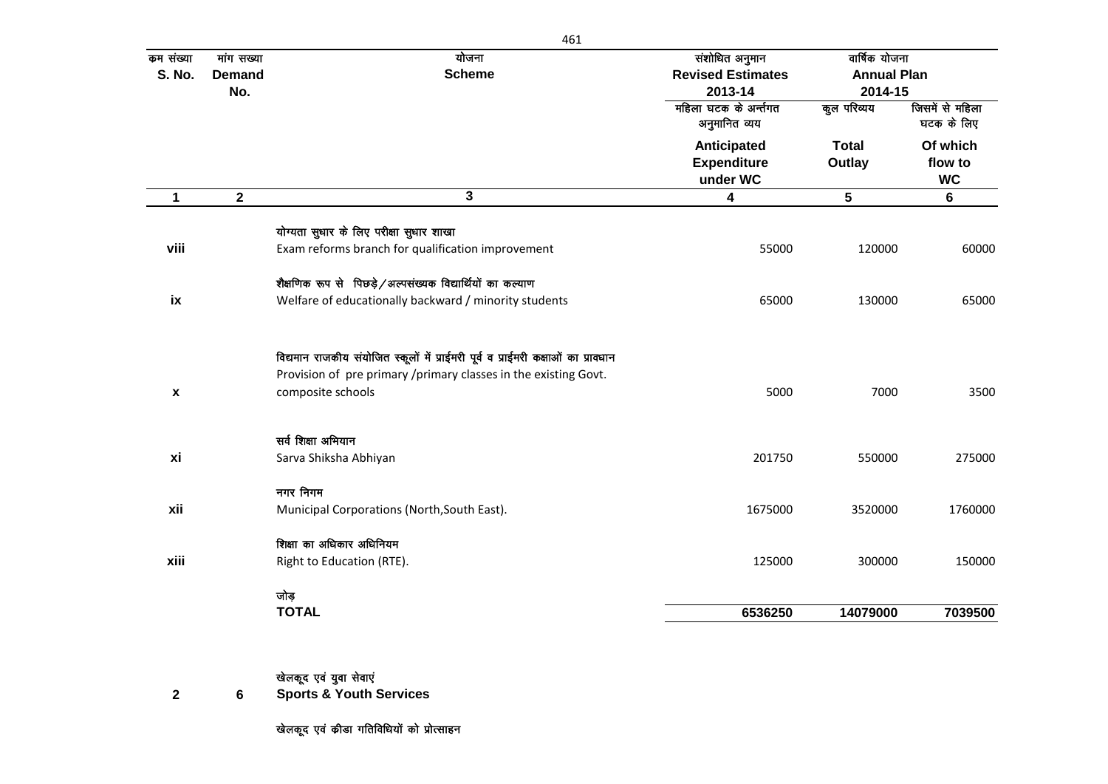| कम संख्या<br><b>S. No.</b> | मांग सख्या<br><b>Demand</b><br>No. | योजना<br><b>Scheme</b>                                                                                                                                                    | संशोधित अनुमान<br><b>Revised Estimates</b><br>2013-14 | वार्षिक योजना<br><b>Annual Plan</b><br>2014-15 |                                  |
|----------------------------|------------------------------------|---------------------------------------------------------------------------------------------------------------------------------------------------------------------------|-------------------------------------------------------|------------------------------------------------|----------------------------------|
|                            |                                    |                                                                                                                                                                           | महिला घटक के अर्न्तगत<br>अनुमानित व्यय                | कुल परिव्यय                                    | जिसमें से महिला<br>घटक के लिए    |
|                            |                                    |                                                                                                                                                                           | Anticipated<br><b>Expenditure</b><br>under WC         | <b>Total</b><br>Outlay                         | Of which<br>flow to<br><b>WC</b> |
| $\mathbf 1$                | $\mathbf{2}$                       | $\overline{3}$                                                                                                                                                            | 4                                                     | 5                                              | $6\phantom{a}$                   |
| viii                       |                                    | योग्यता सुधार के लिए परीक्षा सुधार शाखा<br>Exam reforms branch for qualification improvement                                                                              | 55000                                                 | 120000                                         | 60000                            |
| ix                         |                                    | शैक्षणिक रूप से पिछड़े / अल्पसंख्यक विद्यार्थियों का कल्याण<br>Welfare of educationally backward / minority students                                                      | 65000                                                 | 130000                                         | 65000                            |
| $\pmb{\mathsf{x}}$         |                                    | विद्यमान राजकीय संयोजित स्कूलों में प्राईमरी पूर्व व प्राईमरी कक्षाओं का प्रावधान<br>Provision of pre primary /primary classes in the existing Govt.<br>composite schools | 5000                                                  | 7000                                           | 3500                             |
| xi                         |                                    | सर्व शिक्षा अभियान<br>Sarva Shiksha Abhiyan                                                                                                                               | 201750                                                | 550000                                         | 275000                           |
| xii                        |                                    | नगर निगम<br>Municipal Corporations (North, South East).                                                                                                                   | 1675000                                               | 3520000                                        | 1760000                          |
| xiii                       |                                    | शिक्षा का अधिकार अधिनियम<br>Right to Education (RTE).                                                                                                                     | 125000                                                | 300000                                         | 150000                           |
|                            |                                    | जोड़<br><b>TOTAL</b>                                                                                                                                                      | 6536250                                               | 14079000                                       | 7039500                          |
| $\mathbf{2}$               | 6                                  | खेलकूद एवं युवा सेवाएं<br><b>Sports &amp; Youth Services</b>                                                                                                              |                                                       |                                                |                                  |

खेलकूद एवं कीडा गतिविधियों को प्रोत्साहन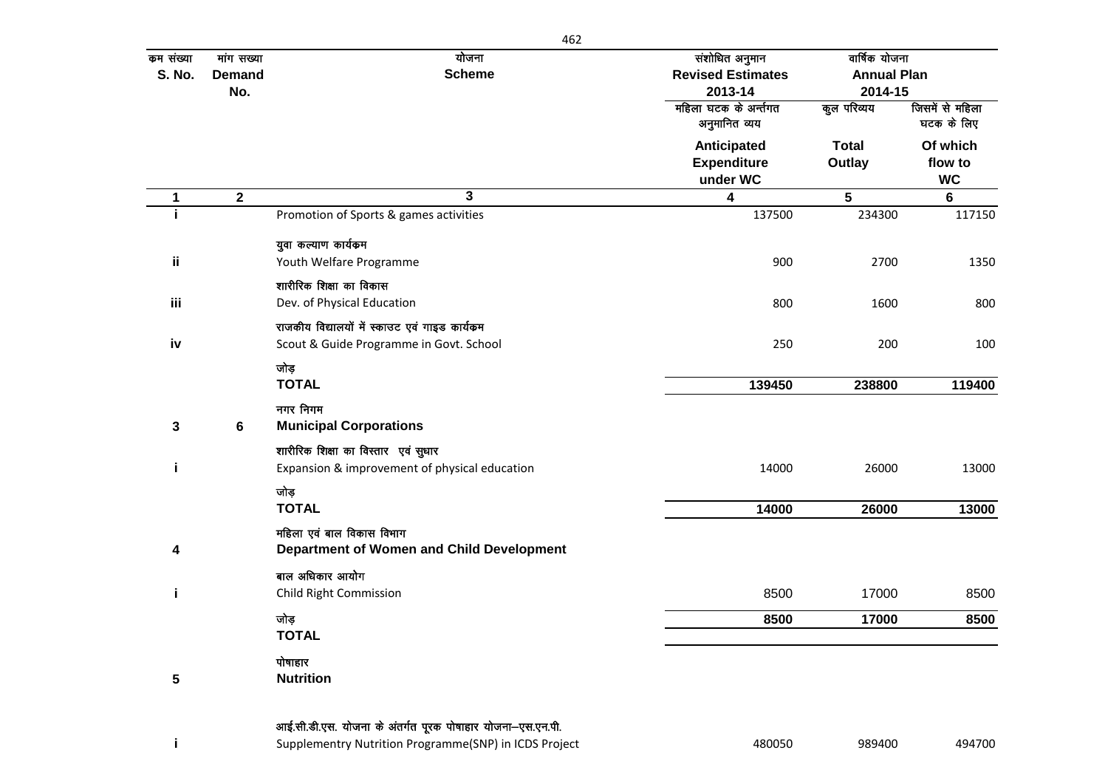| कम संख्या     | मांग सख्या    | योजना                                                      | संशोधित अनुमान                         | वार्षिक योजना      |                               |
|---------------|---------------|------------------------------------------------------------|----------------------------------------|--------------------|-------------------------------|
| <b>S. No.</b> | <b>Demand</b> | <b>Scheme</b>                                              | <b>Revised Estimates</b>               | <b>Annual Plan</b> |                               |
|               | No.           |                                                            | 2013-14                                | 2014-15            |                               |
|               |               |                                                            | महिला घटक के अर्न्तगत<br>अनुमानित व्यय | कुल परिव्यय        | जिसमें से महिला<br>घटक के लिए |
|               |               |                                                            | Anticipated                            | <b>Total</b>       | Of which                      |
|               |               |                                                            | <b>Expenditure</b>                     | Outlay             | flow to                       |
|               |               |                                                            | under WC                               |                    | <b>WC</b>                     |
| 1             | $\mathbf{2}$  | $\overline{3}$                                             | $\overline{\mathbf{4}}$                | $5\phantom{.0}$    | 6                             |
| j.            |               | Promotion of Sports & games activities                     | 137500                                 | 234300             | 117150                        |
|               |               | युवा कल्याण कार्यकम                                        |                                        |                    |                               |
| ii.           |               | Youth Welfare Programme                                    | 900                                    | 2700               | 1350                          |
|               |               | शारीरिक शिक्षा का विकास                                    |                                        |                    |                               |
| iii           |               | Dev. of Physical Education                                 | 800                                    | 1600               | 800                           |
|               |               | राजकीय विद्यालयों में स्काउट एवं गाइड कार्यक्रम            |                                        |                    |                               |
| iv            |               | Scout & Guide Programme in Govt. School                    | 250                                    | 200                | 100                           |
|               |               | जोड़                                                       |                                        |                    |                               |
|               |               | <b>TOTAL</b>                                               | 139450                                 | 238800             | 119400                        |
|               |               | नगर निगम                                                   |                                        |                    |                               |
| 3             | 6             | <b>Municipal Corporations</b>                              |                                        |                    |                               |
|               |               | शारीरिक शिक्षा का विस्तार एवं सुधार                        |                                        |                    |                               |
| j.            |               | Expansion & improvement of physical education              | 14000                                  | 26000              | 13000                         |
|               |               | जोड़                                                       |                                        |                    |                               |
|               |               | <b>TOTAL</b>                                               | 14000                                  | 26000              | 13000                         |
|               |               | महिला एवं बाल विकास विभाग                                  |                                        |                    |                               |
| 4             |               | Department of Women and Child Development                  |                                        |                    |                               |
|               |               | बाल अधिकार आयोग                                            |                                        |                    |                               |
| j.            |               | <b>Child Right Commission</b>                              | 8500                                   | 17000              | 8500                          |
|               |               | जोड़                                                       | 8500                                   | 17000              | 8500                          |
|               |               | <b>TOTAL</b>                                               |                                        |                    |                               |
|               |               | पोषाहार                                                    |                                        |                    |                               |
| 5             |               | <b>Nutrition</b>                                           |                                        |                    |                               |
|               |               |                                                            |                                        |                    |                               |
|               |               | आई.सी.डी.एस. योजना के अंतर्गत पूरक पोषाहार योजना-एस.एन.पी. |                                        |                    |                               |

i Supplementry Nutrition Programme(SNP) in ICDS Project **1989** 180050 989400 989400 494700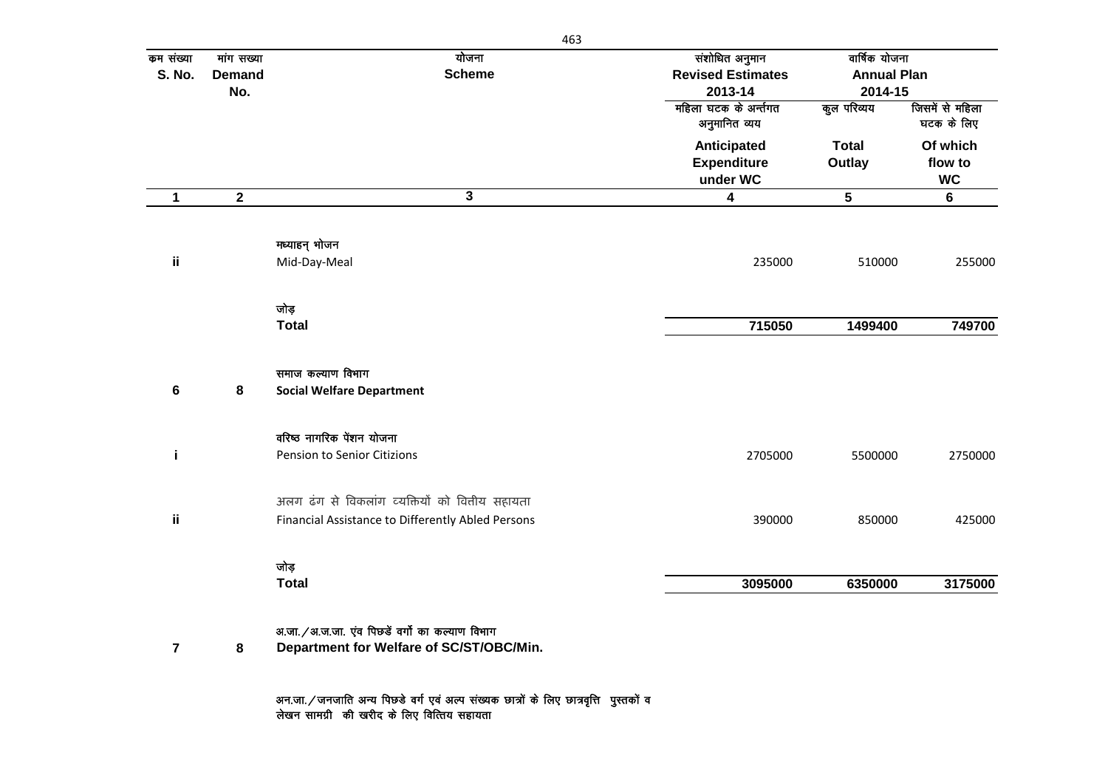| कम संख्या<br>S. No. | मांग सख्या<br><b>Demand</b><br>No. | योजना<br><b>Scheme</b>                                                                               | संशोधित अनुमान<br><b>Revised Estimates</b><br>2013-14 | वार्षिक योजना<br><b>Annual Plan</b><br>2014-15 |                                  |
|---------------------|------------------------------------|------------------------------------------------------------------------------------------------------|-------------------------------------------------------|------------------------------------------------|----------------------------------|
|                     |                                    |                                                                                                      | महिला घटक के अर्न्तगत<br>अनुमानित व्यय                | कुल परिव्यय                                    | जिसमें से महिला<br>घटक के लिए    |
|                     |                                    |                                                                                                      | Anticipated<br><b>Expenditure</b><br>under WC         | <b>Total</b><br>Outlay                         | Of which<br>flow to<br><b>WC</b> |
| 1                   | $\mathbf{2}$                       | $\mathbf{3}$                                                                                         | $\overline{\mathbf{4}}$                               | $\sqrt{5}$                                     | 6                                |
| ij.                 |                                    | मध्याहन् भोजन<br>Mid-Day-Meal                                                                        | 235000                                                | 510000                                         | 255000                           |
|                     |                                    | जोड़<br><b>Total</b>                                                                                 | 715050                                                | 1499400                                        | 749700                           |
|                     |                                    | समाज कल्याण विभाग                                                                                    |                                                       |                                                |                                  |
| 6                   | 8                                  | <b>Social Welfare Department</b>                                                                     |                                                       |                                                |                                  |
| j.                  |                                    | वरिष्ठ नागरिक पेंशन योजना<br>Pension to Senior Citizions                                             | 2705000                                               | 5500000                                        | 2750000                          |
|                     |                                    |                                                                                                      |                                                       |                                                |                                  |
| ii.                 |                                    | अलग ढंग से विकलांग व्यक्तियों को वित्तीय सहायता<br>Financial Assistance to Differently Abled Persons | 390000                                                | 850000                                         | 425000                           |
|                     |                                    | जोड़                                                                                                 |                                                       |                                                |                                  |

अन.जा. / जनजाति अन्य पिछडे वर्ग एवं अल्प संख्यक छात्रों के लिए छात्रवृत्ति पुस्तकों व लेखन सामग्री की खरीद के लिए वित्तिय सहायता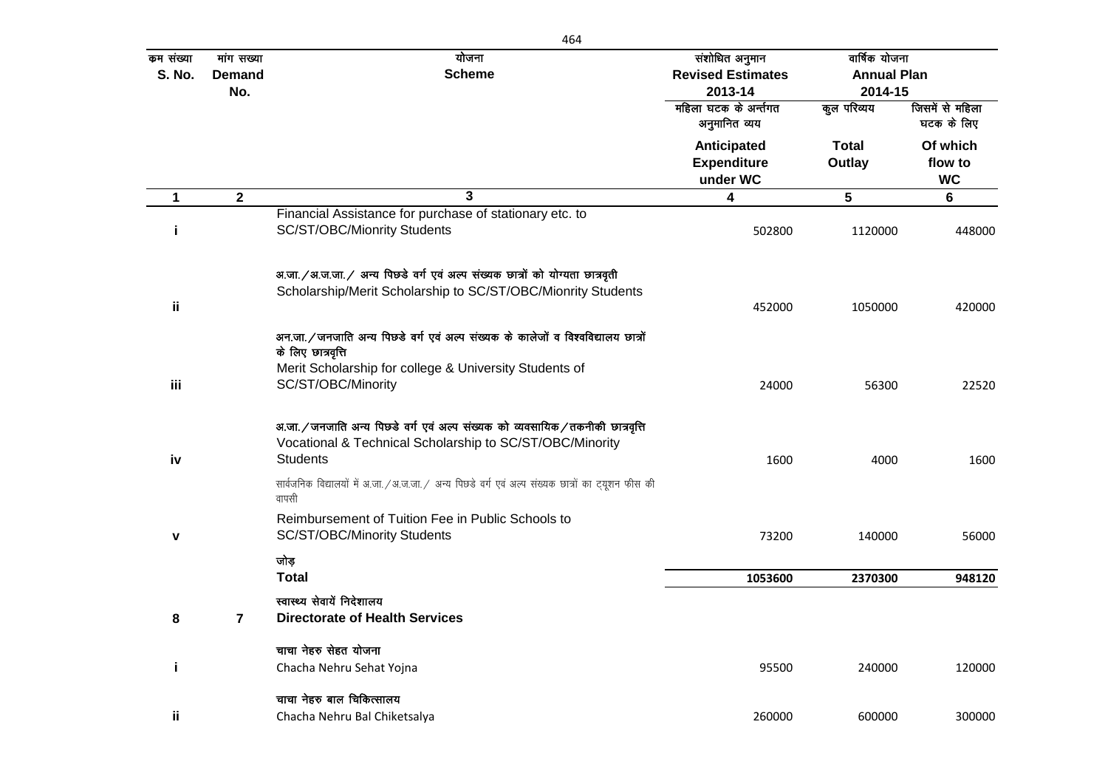| कम संख्या<br><b>S. No.</b> | मांग सख्या<br><b>Demand</b><br>No. | योजना<br><b>Scheme</b>                                                                                                                                                                   | संशोधित अनुमान<br><b>Revised Estimates</b><br>2013-14 | वार्षिक योजना<br><b>Annual Plan</b><br>2014-15 |                                  |
|----------------------------|------------------------------------|------------------------------------------------------------------------------------------------------------------------------------------------------------------------------------------|-------------------------------------------------------|------------------------------------------------|----------------------------------|
|                            |                                    |                                                                                                                                                                                          | महिला घटक के अर्न्तगत<br>अनुमानित व्यय                | कुल परिव्यय                                    | जिसमें से महिला<br>घटक के लिए    |
|                            |                                    |                                                                                                                                                                                          | Anticipated<br><b>Expenditure</b><br>under WC         | <b>Total</b><br>Outlay                         | Of which<br>flow to<br><b>WC</b> |
| $\mathbf 1$                | $\mathbf{2}$                       | $\overline{\mathbf{3}}$                                                                                                                                                                  | $\overline{\mathbf{4}}$                               | 5                                              | $6\phantom{1}$                   |
| j                          |                                    | Financial Assistance for purchase of stationary etc. to<br>SC/ST/OBC/Mionrity Students                                                                                                   | 502800                                                | 1120000                                        | 448000                           |
| ij                         |                                    | अ.जा./अ.ज.जा./ अन्य पिछडे वर्ग एवं अल्प संख्यक छात्रों को योग्यता छात्रवृती<br>Scholarship/Merit Scholarship to SC/ST/OBC/Mionrity Students                                              | 452000                                                | 1050000                                        | 420000                           |
| iii                        |                                    | अन.जा. / जनजाति अन्य पिछडे वर्ग एवं अल्प संख्यक के कालेजों व विश्वविद्यालय छात्रों<br>के लिए छात्रवृत्ति<br>Merit Scholarship for college & University Students of<br>SC/ST/OBC/Minority | 24000                                                 | 56300                                          | 22520                            |
|                            |                                    | अ.जा. / जनजाति अन्य पिछडे वर्ग एवं अल्प संख्यक को व्यवसायिक / तकनीकी छात्रवृत्ति                                                                                                         |                                                       |                                                |                                  |
| iv                         |                                    | Vocational & Technical Scholarship to SC/ST/OBC/Minority<br><b>Students</b>                                                                                                              | 1600                                                  | 4000                                           | 1600                             |
|                            |                                    | सार्वजनिक विद्यालयों में अ.जा. / अ.ज.जा. / अन्य पिछडे वर्ग एवं अल्प संख्यक छात्रों का ट्यूशन फीस की<br>वापसी                                                                             |                                                       |                                                |                                  |
| $\mathbf v$                |                                    | Reimbursement of Tuition Fee in Public Schools to<br>SC/ST/OBC/Minority Students                                                                                                         | 73200                                                 | 140000                                         | 56000                            |
|                            |                                    | जोड<br><b>Total</b>                                                                                                                                                                      | 1053600                                               | 2370300                                        | 948120                           |
| 8                          | 7                                  | स्वास्थ्य सेवायें निदेशालय<br><b>Directorate of Health Services</b>                                                                                                                      |                                                       |                                                |                                  |
|                            |                                    | चाचा नेहरु सेहत योजना                                                                                                                                                                    |                                                       |                                                |                                  |
| j.                         |                                    | Chacha Nehru Sehat Yojna                                                                                                                                                                 | 95500                                                 | 240000                                         | 120000                           |
|                            |                                    | चाचा नेहरु बाल चिकित्सालय                                                                                                                                                                |                                                       |                                                |                                  |
| ij.                        |                                    | Chacha Nehru Bal Chiketsalya                                                                                                                                                             | 260000                                                | 600000                                         | 300000                           |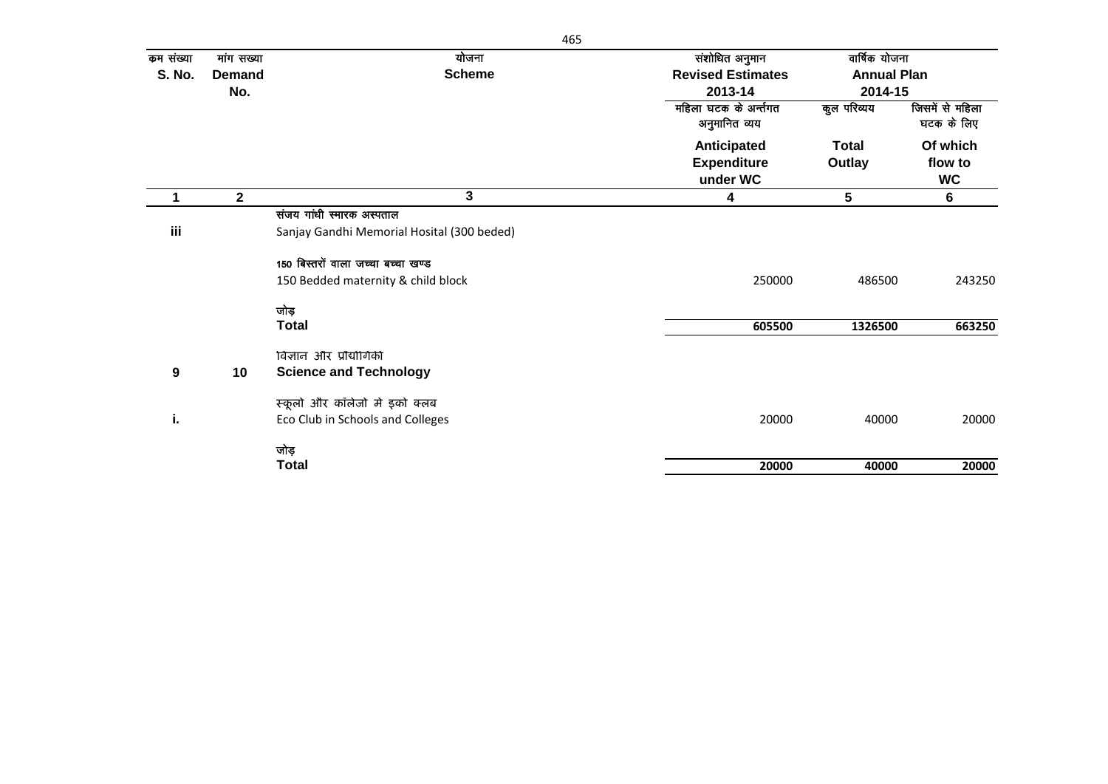| कम संख्या | मांग सख्या    | योजना                                      | संशोधित अनुमान           |                                                                                            |                 |
|-----------|---------------|--------------------------------------------|--------------------------|--------------------------------------------------------------------------------------------|-----------------|
| S. No.    | <b>Demand</b> | <b>Scheme</b>                              | <b>Revised Estimates</b> |                                                                                            |                 |
|           | No.           |                                            | 2013-14                  |                                                                                            |                 |
|           |               |                                            | महिला घटक के अर्न्तगत    | कुल परिव्यय                                                                                | जिसमें से महिला |
|           |               |                                            | अनुमानित व्यय            |                                                                                            | घटक के लिए      |
|           |               |                                            | Anticipated              | <b>Total</b>                                                                               | Of which        |
|           |               |                                            | <b>Expenditure</b>       | Outlay                                                                                     | flow to         |
|           |               |                                            | under WC                 | वार्षिक योजना<br><b>Annual Plan</b><br>2014-15<br>5<br>486500<br>1326500<br>40000<br>40000 | <b>WC</b>       |
|           | $\mathbf 2$   | 3                                          | 4                        |                                                                                            | 6               |
|           |               | संजय गांधी स्मारक अस्पताल                  |                          |                                                                                            |                 |
| iii       |               | Sanjay Gandhi Memorial Hosital (300 beded) |                          |                                                                                            |                 |
|           |               | 150 बिस्तरों वाला जच्चा बच्चा खण्ड         |                          |                                                                                            |                 |
|           |               | 150 Bedded maternity & child block         | 250000                   |                                                                                            | 243250          |
|           |               | जोड                                        |                          |                                                                                            |                 |
|           |               | <b>Total</b>                               | 605500                   |                                                                                            | 663250          |
|           |               | विज्ञान और प्रौद्योगिकी                    |                          |                                                                                            |                 |
| 9         | 10            | <b>Science and Technology</b>              |                          |                                                                                            |                 |
|           |               | स्कूलों और कॉलेजों में इको क्लब            |                          |                                                                                            |                 |
| i.        |               | Eco Club in Schools and Colleges           | 20000                    |                                                                                            | 20000           |
|           |               | जोड़                                       |                          |                                                                                            |                 |
|           |               | <b>Total</b>                               | 20000                    |                                                                                            | 20000           |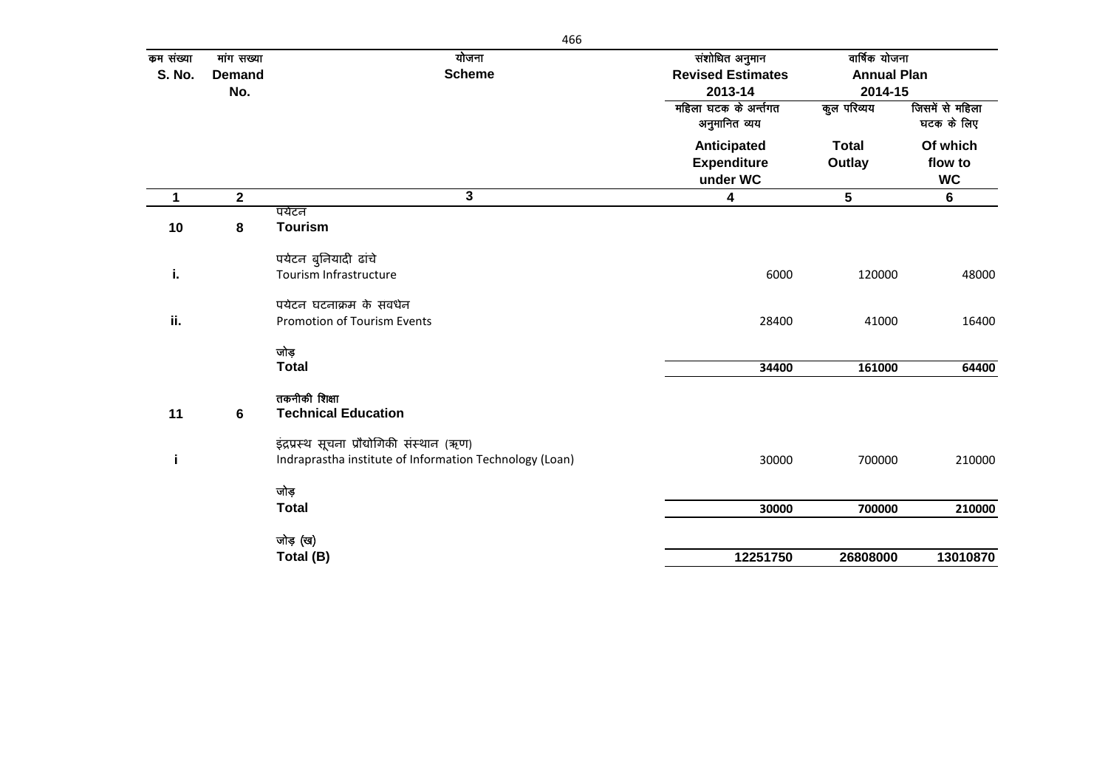| कम संख्या     | मांग सख्या    | योजना                                                   | संशोधित अनुमान                         | वार्षिक योजना                 |                               |
|---------------|---------------|---------------------------------------------------------|----------------------------------------|-------------------------------|-------------------------------|
| <b>S. No.</b> | <b>Demand</b> | <b>Scheme</b>                                           | <b>Revised Estimates</b><br>2013-14    | <b>Annual Plan</b><br>2014-15 |                               |
|               | No.           |                                                         |                                        |                               |                               |
|               |               |                                                         | महिला घटक के अर्न्तगत<br>अनुमानित व्यय | कुल परिव्यय                   | जिसमें से महिला<br>घटक के लिए |
|               |               |                                                         | Anticipated                            | <b>Total</b>                  | Of which                      |
|               |               |                                                         | <b>Expenditure</b>                     | Outlay                        | flow to                       |
|               |               |                                                         | under WC                               |                               | <b>WC</b>                     |
| 1             | $\mathbf{2}$  | 3                                                       | 4                                      | 5                             | $6\phantom{1}$                |
|               |               | पर्यटन                                                  |                                        |                               |                               |
| 10            | 8             | <b>Tourism</b>                                          |                                        |                               |                               |
|               |               | पर्यटन बुनियादी ढांचे                                   |                                        |                               |                               |
| i.            |               | Tourism Infrastructure                                  | 6000                                   | 120000                        | 48000                         |
|               |               | पर्यटन घटनाक्रम के संवर्धन                              |                                        |                               |                               |
| ii.           |               | Promotion of Tourism Events                             | 28400                                  | 41000                         | 16400                         |
|               |               | जोड़                                                    |                                        |                               |                               |
|               |               | <b>Total</b>                                            | 34400                                  | 161000                        | 64400                         |
| 11            | 6             | तकनीकी शिक्षा<br><b>Technical Education</b>             |                                        |                               |                               |
|               |               | इंद्रप्रस्थ सूचना प्रौद्योगिकी संस्थान (ऋण)             |                                        |                               |                               |
| j.            |               | Indraprastha institute of Information Technology (Loan) | 30000                                  | 700000                        | 210000                        |
|               |               | जोड़                                                    |                                        |                               |                               |
|               |               | <b>Total</b>                                            | 30000                                  | 700000                        | 210000                        |
|               |               | जोड़ (ख)                                                |                                        |                               |                               |
|               |               | Total (B)                                               | 12251750                               | 26808000                      | 13010870                      |